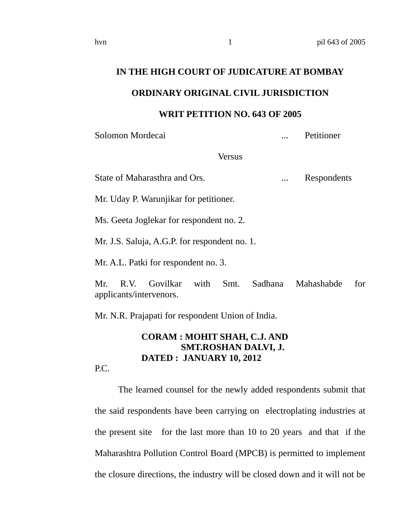# **IN THE HIGH COURT OF JUDICATURE AT BOMBAY**

### **ORDINARY ORIGINAL CIVIL JURISDICTION**

#### **WRIT PETITION NO. 643 OF 2005**

Solomon Mordecai ... Petitioner

Versus

State of Maharasthra and Ors. ... ... Respondents

Mr. Uday P. Warunjikar for petitioner.

Ms. Geeta Joglekar for respondent no. 2.

Mr. J.S. Saluja, A.G.P. for respondent no. 1.

Mr. A.L. Patki for respondent no. 3.

Mr. R.V. Govilkar with Smt. Sadhana Mahashabde for applicants/intervenors.

Mr. N.R. Prajapati for respondent Union of India.

## **CORAM : MOHIT SHAH, C.J. AND SMT.ROSHAN DALVI, J. DATED : JANUARY 10, 2012**

P.C.

The learned counsel for the newly added respondents submit that the said respondents have been carrying on electroplating industries at the present site for the last more than 10 to 20 years and that if the Maharashtra Pollution Control Board (MPCB) is permitted to implement the closure directions, the industry will be closed down and it will not be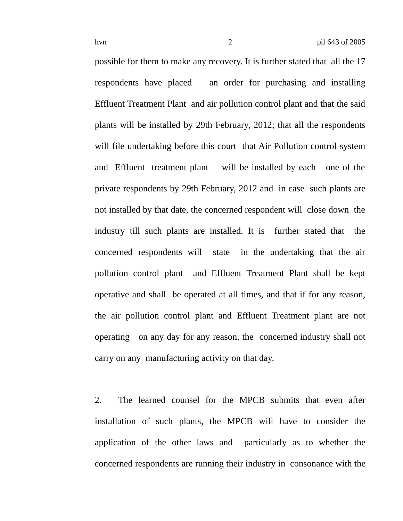possible for them to make any recovery. It is further stated that all the 17 respondents have placed an order for purchasing and installing Effluent Treatment Plant and air pollution control plant and that the said plants will be installed by 29th February, 2012; that all the respondents will file undertaking before this court that Air Pollution control system and Effluent treatment plant will be installed by each one of the private respondents by 29th February, 2012 and in case such plants are not installed by that date, the concerned respondent will close down the industry till such plants are installed. It is further stated that the concerned respondents will state in the undertaking that the air pollution control plant and Effluent Treatment Plant shall be kept operative and shall be operated at all times, and that if for any reason, the air pollution control plant and Effluent Treatment plant are not operating on any day for any reason, the concerned industry shall not carry on any manufacturing activity on that day.

2. The learned counsel for the MPCB submits that even after installation of such plants, the MPCB will have to consider the application of the other laws and particularly as to whether the concerned respondents are running their industry in consonance with the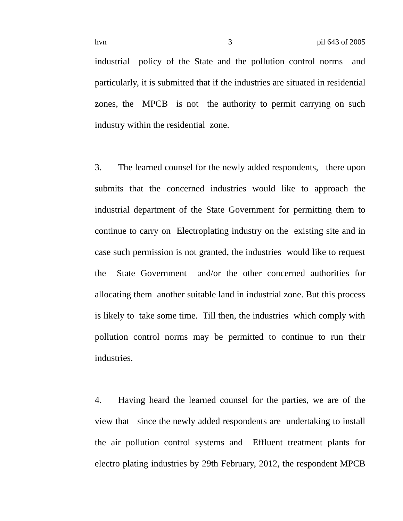industrial policy of the State and the pollution control norms and particularly, it is submitted that if the industries are situated in residential zones, the MPCB is not the authority to permit carrying on such industry within the residential zone.

3. The learned counsel for the newly added respondents, there upon submits that the concerned industries would like to approach the industrial department of the State Government for permitting them to continue to carry on Electroplating industry on the existing site and in case such permission is not granted, the industries would like to request the State Government and/or the other concerned authorities for allocating them another suitable land in industrial zone. But this process is likely to take some time. Till then, the industries which comply with pollution control norms may be permitted to continue to run their industries.

4. Having heard the learned counsel for the parties, we are of the view that since the newly added respondents are undertaking to install the air pollution control systems and Effluent treatment plants for electro plating industries by 29th February, 2012, the respondent MPCB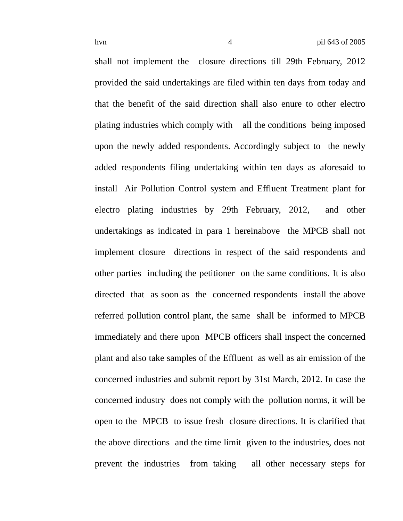shall not implement the closure directions till 29th February, 2012 provided the said undertakings are filed within ten days from today and that the benefit of the said direction shall also enure to other electro plating industries which comply with all the conditions being imposed upon the newly added respondents. Accordingly subject to the newly added respondents filing undertaking within ten days as aforesaid to install Air Pollution Control system and Effluent Treatment plant for electro plating industries by 29th February, 2012, and other undertakings as indicated in para 1 hereinabove the MPCB shall not implement closure directions in respect of the said respondents and other parties including the petitioner on the same conditions. It is also directed that as soon as the concerned respondents install the above referred pollution control plant, the same shall be informed to MPCB immediately and there upon MPCB officers shall inspect the concerned plant and also take samples of the Effluent as well as air emission of the concerned industries and submit report by 31st March, 2012. In case the concerned industry does not comply with the pollution norms, it will be open to the MPCB to issue fresh closure directions. It is clarified that the above directions and the time limit given to the industries, does not prevent the industries from taking all other necessary steps for